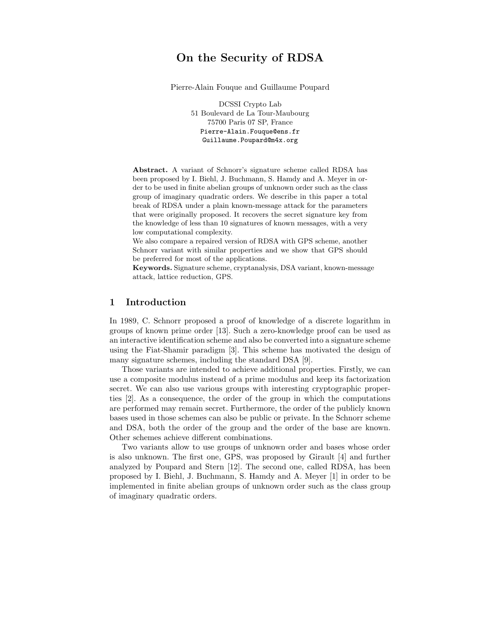# On the Security of RDSA

Pierre-Alain Fouque and Guillaume Poupard

DCSSI Crypto Lab 51 Boulevard de La Tour-Maubourg 75700 Paris 07 SP, France Pierre-Alain.Fouque@ens.fr Guillaume.Poupard@m4x.org

Abstract. A variant of Schnorr's signature scheme called RDSA has been proposed by I. Biehl, J. Buchmann, S. Hamdy and A. Meyer in order to be used in finite abelian groups of unknown order such as the class group of imaginary quadratic orders. We describe in this paper a total break of RDSA under a plain known-message attack for the parameters that were originally proposed. It recovers the secret signature key from the knowledge of less than 10 signatures of known messages, with a very low computational complexity.

We also compare a repaired version of RDSA with GPS scheme, another Schnorr variant with similar properties and we show that GPS should be preferred for most of the applications.

Keywords. Signature scheme, cryptanalysis, DSA variant, known-message attack, lattice reduction, GPS.

## 1 Introduction

In 1989, C. Schnorr proposed a proof of knowledge of a discrete logarithm in groups of known prime order [13]. Such a zero-knowledge proof can be used as an interactive identification scheme and also be converted into a signature scheme using the Fiat-Shamir paradigm [3]. This scheme has motivated the design of many signature schemes, including the standard DSA [9].

Those variants are intended to achieve additional properties. Firstly, we can use a composite modulus instead of a prime modulus and keep its factorization secret. We can also use various groups with interesting cryptographic properties [2]. As a consequence, the order of the group in which the computations are performed may remain secret. Furthermore, the order of the publicly known bases used in those schemes can also be public or private. In the Schnorr scheme and DSA, both the order of the group and the order of the base are known. Other schemes achieve different combinations.

Two variants allow to use groups of unknown order and bases whose order is also unknown. The first one, GPS, was proposed by Girault [4] and further analyzed by Poupard and Stern [12]. The second one, called RDSA, has been proposed by I. Biehl, J. Buchmann, S. Hamdy and A. Meyer [1] in order to be implemented in finite abelian groups of unknown order such as the class group of imaginary quadratic orders.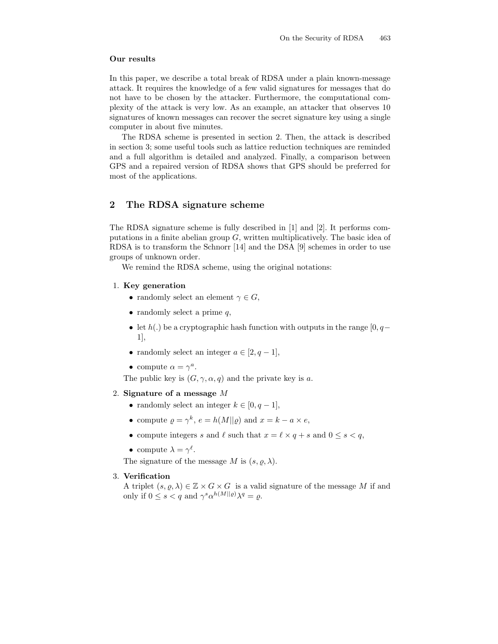#### Our results

In this paper, we describe a total break of RDSA under a plain known-message attack. It requires the knowledge of a few valid signatures for messages that do not have to be chosen by the attacker. Furthermore, the computational complexity of the attack is very low. As an example, an attacker that observes 10 signatures of known messages can recover the secret signature key using a single computer in about five minutes.

The RDSA scheme is presented in section 2. Then, the attack is described in section 3; some useful tools such as lattice reduction techniques are reminded and a full algorithm is detailed and analyzed. Finally, a comparison between GPS and a repaired version of RDSA shows that GPS should be preferred for most of the applications.

## 2 The RDSA signature scheme

The RDSA signature scheme is fully described in [1] and [2]. It performs computations in a finite abelian group  $G$ , written multiplicatively. The basic idea of RDSA is to transform the Schnorr [14] and the DSA [9] schemes in order to use groups of unknown order.

We remind the RDSA scheme, using the original notations:

- 1. Key generation
	- randomly select an element  $\gamma \in G$ ,
	- randomly select a prime  $q$ ,
	- let  $h(.)$  be a cryptographic hash function with outputs in the range [0, q 1],
	- randomly select an integer  $a \in [2, q-1]$ ,
	- compute  $\alpha = \gamma^a$ .

The public key is  $(G, \gamma, \alpha, q)$  and the private key is a.

#### 2. Signature of a message M

- randomly select an integer  $k \in [0, q-1]$ ,
- compute  $\rho = \gamma^k$ ,  $e = h(M||\rho)$  and  $x = k a \times e$ ,
- compute integers s and  $\ell$  such that  $x = \ell \times q + s$  and  $0 \leq s < q$ ,
- compute  $\lambda = \gamma^{\ell}$ .

The signature of the message M is  $(s, \rho, \lambda)$ .

#### 3. Verification

A triplet  $(s, \varrho, \lambda) \in \mathbb{Z} \times G \times G$  is a valid signature of the message M if and only if  $0 \le s < q$  and  $\gamma^s \alpha^{h(M||\varrho)} \lambda^q = \varrho$ .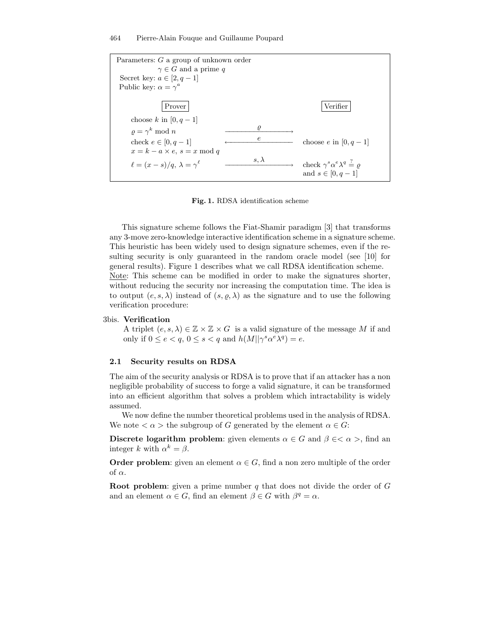464 Pierre-Alain Fouque and Guillaume Poupard



Fig. 1. RDSA identification scheme

This signature scheme follows the Fiat-Shamir paradigm [3] that transforms any 3-move zero-knowledge interactive identification scheme in a signature scheme. This heuristic has been widely used to design signature schemes, even if the resulting security is only guaranteed in the random oracle model (see [10] for general results). Figure 1 describes what we call RDSA identification scheme. Note: This scheme can be modified in order to make the signatures shorter, without reducing the security nor increasing the computation time. The idea is to output  $(e, s, \lambda)$  instead of  $(s, \varrho, \lambda)$  as the signature and to use the following verification procedure:

#### 3bis. Verification

A triplet  $(e, s, \lambda) \in \mathbb{Z} \times \mathbb{Z} \times G$  is a valid signature of the message M if and only if  $0 \le e < q$ ,  $0 \le s < q$  and  $h(M||\gamma^s \alpha^e \lambda^q) = e$ .

#### 2.1 Security results on RDSA

The aim of the security analysis or RDSA is to prove that if an attacker has a non negligible probability of success to forge a valid signature, it can be transformed into an efficient algorithm that solves a problem which intractability is widely assumed.

We now define the number theoretical problems used in the analysis of RDSA. We note  $\langle \alpha \rangle$  the subgroup of G generated by the element  $\alpha \in G$ :

Discrete logarithm problem: given elements  $\alpha \in G$  and  $\beta \in <\alpha>$ , find an integer k with  $\alpha^k = \beta$ .

**Order problem:** given an element  $\alpha \in G$ , find a non zero multiple of the order of  $\alpha$ .

**Root problem:** given a prime number  $q$  that does not divide the order of  $G$ and an element  $\alpha \in G$ , find an element  $\beta \in G$  with  $\beta^q = \alpha$ .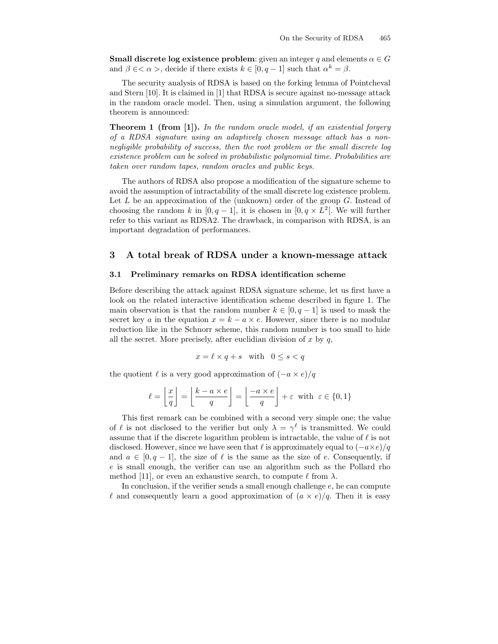**Small discrete log existence problem:** given an integer q and elements  $\alpha \in G$ and  $\beta \in \langle \alpha \rangle$ , decide if there exists  $k \in [0, q-1]$  such that  $\alpha^k = \beta$ .

The security analysis of RDSA is based on the forking lemma of Pointcheval and Stern [10]. It is claimed in [1] that RDSA is secure against no-message attack in the random oracle model. Then, using a simulation argument, the following theorem is announced:

**Theorem 1 (from [1]).** In the random oracle model, if an existential forgery of a RDSA signature using an adaptively chosen message attack has a nonnegligible probability of success, then the root problem or the small discrete log existence problem can be solved in probabilistic polynomial time. Probabilities are taken over random tapes, random oracles and public keys.

The authors of RDSA also propose a modification of the signature scheme to avoid the assumption of intractability of the small discrete log existence problem. Let  $L$  be an approximation of the (unknown) order of the group  $G$ . Instead of choosing the random k in  $[0, q-1]$ , it is chosen in  $[0, q \times L^2]$ . We will further refer to this variant as RDSA2. The drawback, in comparison with RDSA, is an important degradation of performances.

### 3 A total break of RDSA under a known-message attack

#### 3.1 Preliminary remarks on RDSA identification scheme

Before describing the attack against RDSA signature scheme, let us first have a look on the related interactive identification scheme described in figure 1. The main observation is that the random number  $k \in [0, q-1]$  is used to mask the secret key a in the equation  $x = k - a \times e$ . However, since there is no modular reduction like in the Schnorr scheme, this random number is too small to hide all the secret. More precisely, after euclidian division of  $x$  by  $q$ ,

$$
x = \ell \times q + s \quad \text{with} \quad 0 \le s < q
$$

the quotient  $\ell$  is a very good approximation of  $(-a \times e)/q$ 

$$
\ell = \left\lfloor \frac{x}{q} \right\rfloor = \left\lfloor \frac{k - a \times e}{q} \right\rfloor = \left\lfloor \frac{-a \times e}{q} \right\rfloor + \varepsilon \text{ with } \varepsilon \in \{0, 1\}
$$

This first remark can be combined with a second very simple one; the value of  $\ell$  is not disclosed to the verifier but only  $\lambda = \gamma^{\ell}$  is transmitted. We could assume that if the discrete logarithm problem is intractable, the value of  $\ell$  is not disclosed. However, since we have seen that  $\ell$  is approximately equal to  $(-a \times e)/q$ and  $a \in [0, q-1]$ , the size of  $\ell$  is the same as the size of e. Consequently, if e is small enough, the verifier can use an algorithm such as the Pollard rho method [11], or even an exhaustive search, to compute  $\ell$  from  $\lambda$ .

In conclusion, if the verifier sends a small enough challenge e, he can compute  $\ell$  and consequently learn a good approximation of  $(a \times e)/q$ . Then it is easy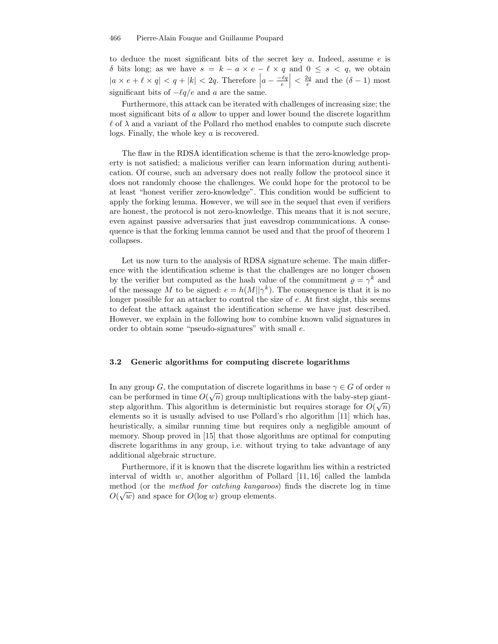to deduce the most significant bits of the secret key  $a$ . Indeed, assume  $e$  is δ bits long; as we have  $s = k - a \times e - \ell \times q$  and  $0 \leq s < q$ , we obtain  $|a \times e + \ell \times q| < q + |k| < 2q$ . Therefore  $|a - \frac{-\ell q}{e}|$  $\left| \begin{array}{c} \frac{2q}{e} & \text{and the } (\delta - 1) \text{ most} \end{array} \right|$ significant bits of  $-\ell q/e$  and a are the same.

Furthermore, this attack can be iterated with challenges of increasing size; the most significant bits of a allow to upper and lower bound the discrete logarithm  $\ell$  of  $\lambda$  and a variant of the Pollard rho method enables to compute such discrete logs. Finally, the whole key a is recovered.

The flaw in the RDSA identification scheme is that the zero-knowledge property is not satisfied; a malicious verifier can learn information during authentication. Of course, such an adversary does not really follow the protocol since it does not randomly choose the challenges. We could hope for the protocol to be at least "honest verifier zero-knowledge". This condition would be sufficient to apply the forking lemma. However, we will see in the sequel that even if verifiers are honest, the protocol is not zero-knowledge. This means that it is not secure, even against passive adversaries that just eavesdrop communications. A consequence is that the forking lemma cannot be used and that the proof of theorem 1 collapses.

Let us now turn to the analysis of RDSA signature scheme. The main difference with the identification scheme is that the challenges are no longer chosen by the verifier but computed as the hash value of the commitment  $\rho = \gamma^k$  and of the message M to be signed:  $e = h(M||\gamma^k)$ . The consequence is that it is no longer possible for an attacker to control the size of e. At first sight, this seems to defeat the attack against the identification scheme we have just described. However, we explain in the following how to combine known valid signatures in order to obtain some "pseudo-signatures" with small e.

#### 3.2 Generic algorithms for computing discrete logarithms

In any group G, the computation of discrete logarithms in base  $\gamma \in G$  of order n can be performed in time  $O(\sqrt{n})$  group multiplications with the baby-step giantstep algorithm. This algorithm is deterministic but requires storage for  $O(\sqrt{n})$ elements so it is usually advised to use Pollard's rho algorithm [11] which has, heuristically, a similar running time but requires only a negligible amount of memory. Shoup proved in [15] that those algorithms are optimal for computing discrete logarithms in any group, i.e. without trying to take advantage of any additional algebraic structure.

Furthermore, if it is known that the discrete logarithm lies within a restricted interval of width w, another algorithm of Pollard  $[11, 16]$  called the lambda method (or the method for catching kangaroos) finds the discrete log in time  $O(\sqrt{w})$  and space for  $O(\log w)$  group elements.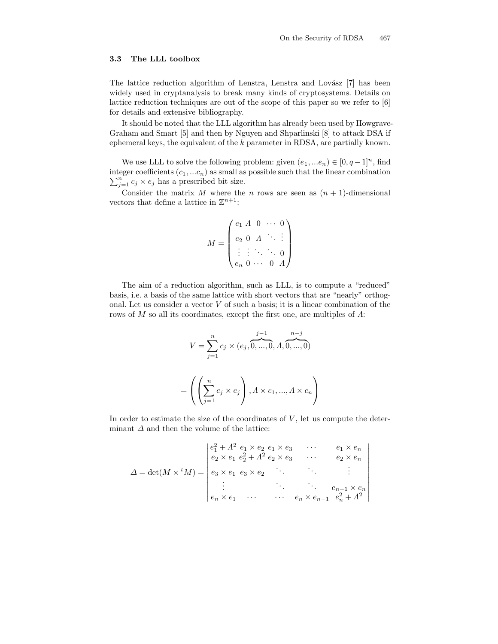#### 3.3 The LLL toolbox

The lattice reduction algorithm of Lenstra, Lenstra and Lovász [7] has been widely used in cryptanalysis to break many kinds of cryptosystems. Details on lattice reduction techniques are out of the scope of this paper so we refer to [6] for details and extensive bibliography.

It should be noted that the LLL algorithm has already been used by Howgrave-Graham and Smart [5] and then by Nguyen and Shparlinski [8] to attack DSA if ephemeral keys, the equivalent of the k parameter in RDSA, are partially known.

We use LLL to solve the following problem: given  $(e_1, ... e_n) \in [0, q-1]^n$ , find  $\sum_{j=1}^{n} c_j \times e_j$  has a prescribed bit size. integer coefficients  $(c_1, ... c_n)$  as small as possible such that the linear combination

Consider the matrix M where the n rows are seen as  $(n + 1)$ -dimensional vectors that define a lattice in  $\mathbb{Z}^{n+1}$ :

$$
M = \begin{pmatrix} e_1 & A & 0 & \cdots & 0 \\ e_2 & 0 & A & \ddots & \vdots \\ \vdots & \vdots & \ddots & \ddots & 0 \\ e_n & 0 & \cdots & 0 & A \end{pmatrix}
$$

The aim of a reduction algorithm, such as LLL, is to compute a "reduced" basis, i.e. a basis of the same lattice with short vectors that are "nearly" orthogonal. Let us consider a vector  $V$  of such a basis; it is a linear combination of the rows of M so all its coordinates, except the first one, are multiples of  $\Lambda$ :

$$
V = \sum_{j=1}^{n} c_j \times (e_j, \overbrace{0, \dots, 0}^{j-1}, A, \overbrace{0, \dots, 0}^{n-j})
$$

$$
= \left( \left( \sum_{j=1}^{n} c_j \times e_j \right), A \times c_1, \dots, A \times c_n \right)
$$

In order to estimate the size of the coordinates of  $V$ , let us compute the determinant  $\Delta$  and then the volume of the lattice:

$$
\Delta = \det(M \times {}^{t} M) = \begin{vmatrix} e_1^2 + A^2 & e_1 \times e_2 & e_1 \times e_3 & \cdots & e_1 \times e_n \\ e_2 \times e_1 & e_2^2 + A^2 & e_2 \times e_3 & \cdots & e_2 \times e_n \\ e_3 \times e_1 & e_3 \times e_2 & \ddots & \vdots \\ \vdots & \ddots & \ddots & \vdots \\ e_n \times e_1 & \cdots & \cdots & e_n \times e_{n-1} & e_n^2 + A^2 \end{vmatrix}
$$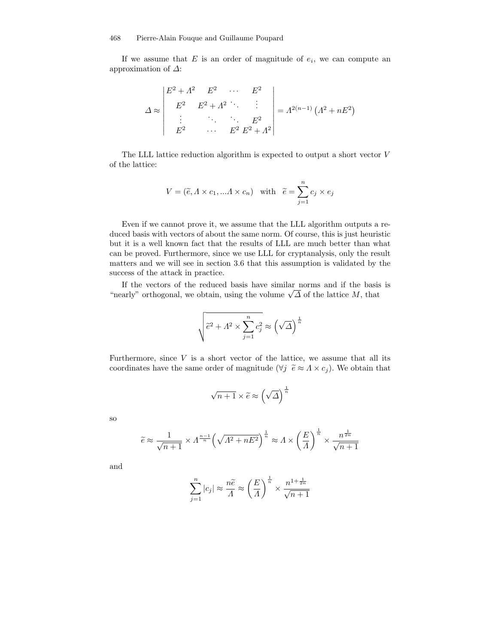If we assume that  $E$  is an order of magnitude of  $e_i$ , we can compute an approximation of  $\Delta$ :

$$
\Delta \approx \begin{vmatrix} E^2 + A^2 & E^2 & \cdots & E^2 \\ E^2 & E^2 + A^2 & \ddots & \vdots \\ \vdots & \ddots & \ddots & E^2 \\ E^2 & \cdots & E^2 & E^2 + A^2 \end{vmatrix} = A^{2(n-1)} \left( A^2 + nE^2 \right)
$$

The LLL lattice reduction algorithm is expected to output a short vector V of the lattice:

$$
V = (\widetilde{e}, A \times c_1, ... A \times c_n) \text{ with } \widetilde{e} = \sum_{j=1}^n c_j \times e_j
$$

Even if we cannot prove it, we assume that the LLL algorithm outputs a reduced basis with vectors of about the same norm. Of course, this is just heuristic but it is a well known fact that the results of LLL are much better than what can be proved. Furthermore, since we use LLL for cryptanalysis, only the result matters and we will see in section 3.6 that this assumption is validated by the success of the attack in practice.

If the vectors of the reduced basis have similar norms and if the basis is "nearly" orthogonal, we obtain, using the volume  $\sqrt{\Delta}$  of the lattice M, that

$$
\sqrt{\widetilde{e}^2 + A^2 \times \sum_{j=1}^n c_j^2} \approx \left(\sqrt{\varDelta}\right)^{\frac{1}{n}}
$$

Furthermore, since  $V$  is a short vector of the lattice, we assume that all its coordinates have the same order of magnitude ( $\forall j \ \tilde{e} \approx \Lambda \times c_j$ ). We obtain that

$$
\sqrt{n+1} \times \widetilde{e} \approx \left(\sqrt{\Delta}\right)^{\frac{1}{n}}
$$

so

$$
\widetilde{e} \approx \frac{1}{\sqrt{n+1}} \times \Lambda^{\frac{n-1}{n}} \left( \sqrt{\Lambda^2 + nE^2} \right)^{\frac{1}{n}} \approx \Lambda \times \left( \frac{E}{\Lambda} \right)^{\frac{1}{n}} \times \frac{n^{\frac{1}{2n}}}{\sqrt{n+1}}
$$

and

$$
\sum_{j=1}^{n} |c_j| \approx \frac{n\widetilde{e}}{A} \approx \left(\frac{E}{A}\right)^{\frac{1}{n}} \times \frac{n^{1+\frac{1}{2n}}}{\sqrt{n+1}}
$$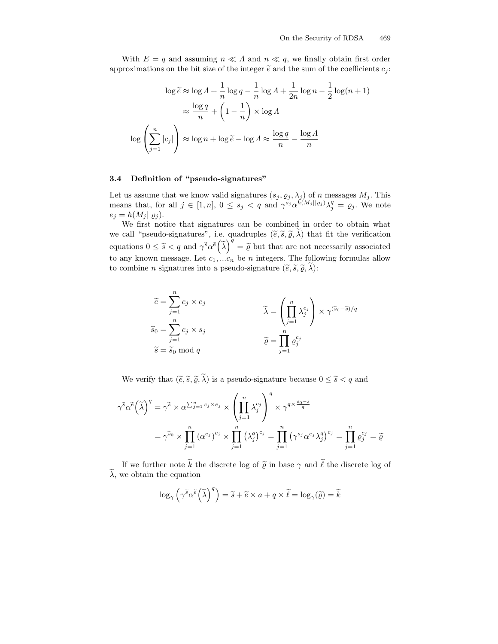With  $E = q$  and assuming  $n \ll \Lambda$  and  $n \ll q$ , we finally obtain first order approximations on the bit size of the integer  $\tilde{e}$  and the sum of the coefficients  $c_i$ :

$$
\log \tilde{e} \approx \log A + \frac{1}{n} \log q - \frac{1}{n} \log A + \frac{1}{2n} \log n - \frac{1}{2} \log(n+1)
$$

$$
\approx \frac{\log q}{n} + \left(1 - \frac{1}{n}\right) \times \log A
$$

$$
\log \left(\sum_{j=1}^{n} |c_j|\right) \approx \log n + \log \tilde{e} - \log A \approx \frac{\log q}{n} - \frac{\log A}{n}
$$

## 3.4 Definition of "pseudo-signatures"

Let us assume that we know valid signatures  $(s_j, \varrho_j, \lambda_j)$  of n messages  $M_j$ . This means that, for all  $j \in [1, n]$ ,  $0 \leq s_j < q$  and  $\gamma^{s_j} \alpha^{h(M_j||g_j)} \lambda_j^q = \varrho_j$ . We note  $e_j = h(M_j || \varrho_j).$ 

We first notice that signatures can be combined in order to obtain what we call "pseudo-signatures", i.e. quadruples  $(\widetilde{e}, \widetilde{s}, \widetilde{\varrho}, \widetilde{\lambda})$  that fit the verification equations  $0 \leq \tilde{s} < q$  and  $\gamma^{\tilde{s}} \alpha^{\tilde{e}} (\tilde{\lambda})^{\tilde{q}} = \tilde{\varrho}$  but that are not necessarily associated to any known message. Let  $c_1, ... c_n$  be *n* integers. The following formulas allow to combine *n* signatures into a pseudo-signature  $(\tilde{e}, \tilde{s}, \tilde{\varrho}, \tilde{\lambda})$ :

$$
\widetilde{e} = \sum_{j=1}^{n} c_j \times e_j
$$
\n
$$
\widetilde{s}_0 = \sum_{j=1}^{n} c_j \times s_j
$$
\n
$$
\widetilde{s} = \widetilde{s}_0 \mod q
$$
\n
$$
\widetilde{Q} = \prod_{j=1}^{n} \varrho_j^{c_j}
$$
\n
$$
\widetilde{\varrho} = \prod_{j=1}^{n} \varrho_j^{c_j}
$$

We verify that  $(\tilde{e}, \tilde{s}, \tilde{\varrho}, \tilde{\lambda})$  is a pseudo-signature because  $0 \leq \tilde{s} < q$  and

$$
\gamma^{\tilde{s}} \alpha^{\tilde{e}} \left(\tilde{\lambda}\right)^{q} = \gamma^{\tilde{s}} \times \alpha^{\sum_{j=1}^{n} c_{j} \times e_{j}} \times \left(\prod_{j=1}^{n} \lambda_{j}^{c_{j}}\right)^{q} \times \gamma^{q \times \frac{\tilde{s}_{0} - \tilde{s}}{q}}
$$

$$
= \gamma^{\tilde{s}_{0}} \times \prod_{j=1}^{n} (\alpha^{e_{j}})^{c_{j}} \times \prod_{j=1}^{n} (\lambda_{j}^{q})^{c_{j}} = \prod_{j=1}^{n} (\gamma^{s_{j}} \alpha^{e_{j}} \lambda_{j}^{q})^{c_{j}} = \prod_{j=1}^{n} \varrho_{j}^{c_{j}} = \tilde{\varrho}
$$

If we further note  $\widetilde{k}$  the discrete log of  $\widetilde{\varrho}$  in base  $\gamma$  and  $\widetilde{\ell}$  the discrete log of  $\lambda$ , we obtain the equation

$$
\log_{\gamma}\left(\gamma^{\widetilde{s}}\alpha^{\widetilde{e}}\left(\widetilde{\lambda}\right)^{q}\right)=\widetilde{s}+\widetilde{e}\times a+q\times\widetilde{\ell}=\log_{\gamma}(\widetilde{\varrho})=\widetilde{k}
$$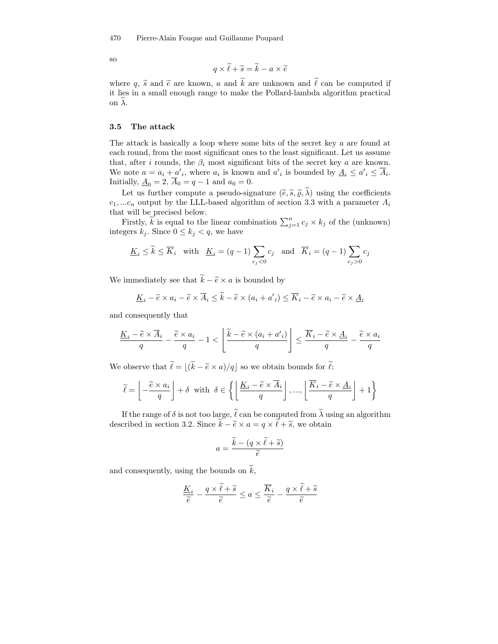so

$$
q \times \widetilde{\ell} + \widetilde{s} = \widetilde{k} - a \times \widetilde{e}
$$

where q,  $\tilde{s}$  and  $\tilde{e}$  are known, a and  $\tilde{k}$  are unknown and  $\tilde{\ell}$  can be computed if it lies in a small enough range to make the Pollard-lambda algorithm practical on  $\lambda$ .

#### 3.5 The attack

The attack is basically a loop where some bits of the secret key a are found at each round, from the most significant ones to the least significant. Let us assume that, after i rounds, the  $\beta_i$  most significant bits of the secret key a are known. We note  $a = a_i + a'_i$ , where  $a_i$  is known and  $a'_i$  is bounded by  $\underline{A}_i \le a'_i \le \overline{A}_i$ . Initially,  $\underline{A}_0 = 2$ ,  $A_0 = q - 1$  and  $a_0 = 0$ .

Let us further compute a pseudo-signature  $(\tilde{e}, \tilde{s}, \tilde{\rho}, \tilde{\lambda})$  using the coefficients  $c_1, ... c_n$  output by the LLL-based algorithm of section 3.3 with a parameter  $\Lambda_i$ that will be precised below.

Firstly,  $\widetilde{k}$  is equal to the linear combination  $\sum_{j=1}^{n} c_j \times k_j$  of the (unknown) integers  $k_j$ . Since  $0 \leq k_j < q$ , we have

$$
\underline{K}_i \le \widetilde{k} \le \overline{K}_i \quad \text{with} \quad \underline{K}_i = (q-1) \sum_{c_j < 0} c_j \quad \text{and} \quad \overline{K}_i = (q-1) \sum_{c_j > 0} c_j
$$

We immediately see that  $\widetilde{k} - \widetilde{e} \times a$  is bounded by

$$
\underline{K}_i - \widetilde{e} \times a_i - \widetilde{e} \times \overline{A}_i \le \widetilde{k} - \widetilde{e} \times (a_i + a'_i) \le \overline{K}_i - \widetilde{e} \times a_i - \widetilde{e} \times \underline{A}_i
$$

and consequently that

$$
\frac{\underline{K}_{i} - \widetilde{e} \times \overline{A}_{i}}{q} - \frac{\widetilde{e} \times a_{i}}{q} - 1 < \left\lfloor \frac{\widetilde{k} - \widetilde{e} \times (a_{i} + a'_{i})}{q} \right\rfloor \leq \frac{\overline{K}_{i} - \widetilde{e} \times \underline{A}_{i}}{q} - \frac{\widetilde{e} \times a_{i}}{q}
$$

We observe that  $\widetilde{\ell} = |(\widetilde{k} - \widetilde{e} \times a)/q|$  so we obtain bounds for  $\widetilde{\ell}:$ 

$$
\widetilde{\ell} = \left[ -\frac{\widetilde{e} \times a_i}{q} \right] + \delta \text{ with } \delta \in \left\{ \left[ \frac{\underline{K}_i - \widetilde{e} \times \overline{A}_i}{q} \right], ..., \left[ \frac{\overline{K}_i - \widetilde{e} \times \underline{A}_i}{q} \right] + 1 \right\}
$$

If the range of  $\delta$  is not too large,  $\tilde{\ell}$  can be computed from  $\tilde{\lambda}$  using an algorithm described in section 3.2. Since  $\widetilde{k} - \widetilde{e} \times a = q \times \widetilde{\ell} + \widetilde{s}$ , we obtain

$$
a = \frac{\widetilde{k} - (q \times \widetilde{\ell} + \widetilde{s})}{\widetilde{e}}
$$

and consequently, using the bounds on  $\widetilde{k}$ ,

$$
\frac{\underline{K}_{i}}{\widetilde{e}} - \frac{q \times \widetilde{\ell} + \widetilde{s}}{\widetilde{e}} \le a \le \frac{\overline{K}_{i}}{\widetilde{e}} - \frac{q \times \widetilde{\ell} + \widetilde{s}}{\widetilde{e}}
$$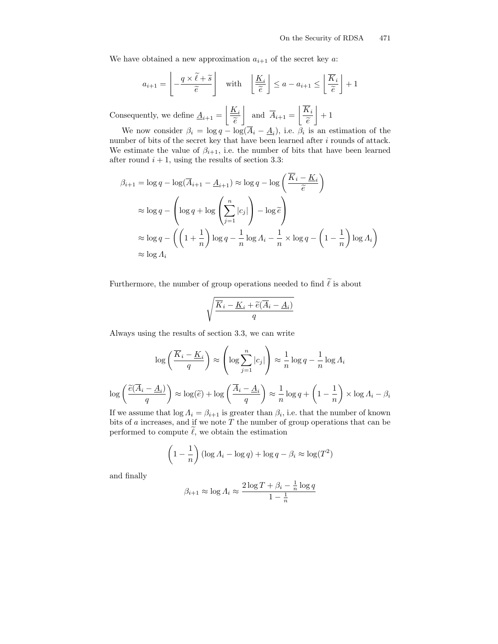We have obtained a new approximation  $a_{i+1}$  of the secret key a:

$$
a_{i+1} = \left\lfloor -\frac{q \times \tilde{\ell} + \tilde{s}}{\tilde{e}} \right\rfloor \quad \text{with} \quad \left\lfloor \frac{\underline{K}_i}{\tilde{e}} \right\rfloor \le a - a_{i+1} \le \left\lfloor \frac{\overline{K}_i}{\tilde{e}} \right\rfloor + 1
$$

Consequently, we define  $\underline{A}_{i+1} =$  $K_i$  $\widetilde{e}$  $\overline{\phantom{a}}$ and  $A_{i+1} =$  $\overline{K}_i$  $\widetilde{e}$ .  $\overline{a}$  $+1$ 

We now consider  $\beta_i = \log q - \log(A_i - \underline{A}_i)$ , i.e.  $\beta_i$  is an estimation of the number of bits of the secret key that have been learned after  $i$  rounds of attack. We estimate the value of  $\beta_{i+1}$ , i.e. the number of bits that have been learned after round  $i + 1$ , using the results of section 3.3:

$$
\beta_{i+1} = \log q - \log(\overline{A}_{i+1} - \underline{A}_{i+1}) \approx \log q - \log \left( \frac{\overline{K}_i - \underline{K}_i}{\widetilde{e}} \right)
$$
  

$$
\approx \log q - \left( \log q + \log \left( \sum_{j=1}^n |c_j| \right) - \log \widetilde{e} \right)
$$
  

$$
\approx \log q - \left( \left( 1 + \frac{1}{n} \right) \log q - \frac{1}{n} \log A_i - \frac{1}{n} \times \log q - \left( 1 - \frac{1}{n} \right) \log A_i \right)
$$
  

$$
\approx \log A_i
$$

Furthermore, the number of group operations needed to find  $\widetilde{\ell}$  is about

$$
\sqrt{\frac{\overline{K}_i - \underline{K}_i + \widetilde{e}(\overline{A}_i - \underline{A}_i)}{q}}
$$

Always using the results of section 3.3, we can write

$$
\log\left(\frac{\overline{K}_i - \underline{K}_i}{q}\right) \approx \left(\log \sum_{j=1}^n |c_j|\right) \approx \frac{1}{n} \log q - \frac{1}{n} \log A_i
$$

$$
\log\left(\frac{\tilde{e}(\overline{A}_i - \underline{A}_i)}{q}\right) \approx \log(\tilde{e}) + \log\left(\frac{\overline{A}_i - \underline{A}_i}{q}\right) \approx \frac{1}{n} \log q + \left(1 - \frac{1}{n}\right) \times \log A_i - \beta_i
$$

If we assume that  $\log \Lambda_i = \beta_{i+1}$  is greater than  $\beta_i$ , i.e. that the number of known bits of  $a$  increases, and if we note  $T$  the number of group operations that can be performed to compute  $\ell$ , we obtain the estimation

$$
\left(1 - \frac{1}{n}\right) (\log A_i - \log q) + \log q - \beta_i \approx \log(T^2)
$$

and finally

$$
\beta_{i+1} \approx \log A_i \approx \frac{2\log T + \beta_i - \frac{1}{n}\log q}{1 - \frac{1}{n}}
$$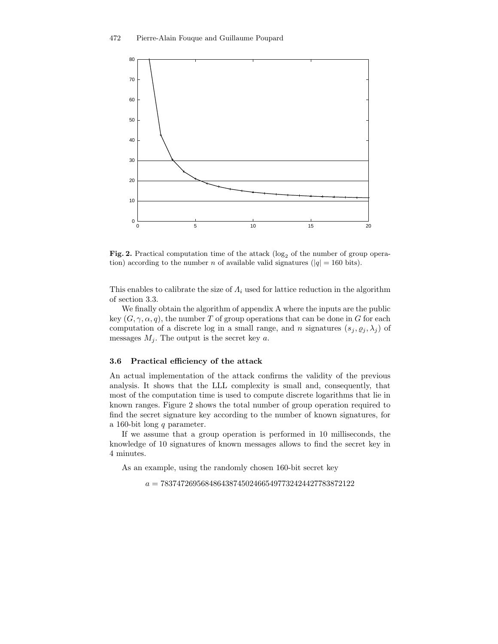

Fig. 2. Practical computation time of the attack  $(\log_2 6)$  the number of group operation) according to the number n of available valid signatures ( $|q| = 160$  bits).

This enables to calibrate the size of  $\Lambda_i$  used for lattice reduction in the algorithm of section 3.3.

We finally obtain the algorithm of appendix A where the inputs are the public key  $(G, \gamma, \alpha, q)$ , the number T of group operations that can be done in G for each computation of a discrete log in a small range, and n signatures  $(s_j, \varrho_j, \lambda_j)$  of messages  $M_i$ . The output is the secret key a.

#### 3.6 Practical efficiency of the attack

An actual implementation of the attack confirms the validity of the previous analysis. It shows that the LLL complexity is small and, consequently, that most of the computation time is used to compute discrete logarithms that lie in known ranges. Figure 2 shows the total number of group operation required to find the secret signature key according to the number of known signatures, for a 160-bit long q parameter.

If we assume that a group operation is performed in 10 milliseconds, the knowledge of 10 signatures of known messages allows to find the secret key in 4 minutes.

As an example, using the randomly chosen 160-bit secret key

 $a = 783747269568486438745024665497732424427783872122$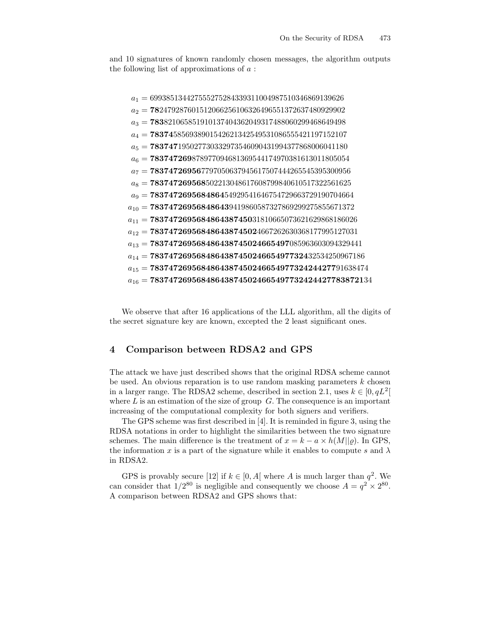and 10 signatures of known randomly chosen messages, the algorithm outputs the following list of approximations of  $a$ :

 $a_1 = 699385134427555275284339311004987510346869139626$  $a_2 = 782479287601512066256106326496551372637480929902$  $a_3 = 783821065851910137404362049317488060299468649498$  $a_4 = 783745856938901542621342549531086555421197152107$  $a_5 = 783747195027730332973546090431994377868006041180$  $a_6 = 783747269878977094681369544174970381613011805054$  $a_7 = 783747269567797050637945617507444265545395300956$  $a_8 = 783747269568502213048617608799840610517322561625$  $a_9 = 783747269568486454929541646754729663729190704664$  $a_{10} = 783747269568486439419860587327869299275855671372$  $a_{11} = 783747269568486438745031810665073621629868186026$  $a_{12} = 783747269568486438745024667262630368177995127031$  $a_{13} = 783747269568486438745024665497085963603094329441$  $a_{14} = 783747269568486438745024665497732432534250967186$  $a_{15} = 783747269568486438745024665497732424427791638474$  $a_{16} = {\bf 783747269568486438745024665497732424427783872134}$ 

We observe that after 16 applications of the LLL algorithm, all the digits of the secret signature key are known, excepted the 2 least significant ones.

## 4 Comparison between RDSA2 and GPS

The attack we have just described shows that the original RDSA scheme cannot be used. An obvious reparation is to use random masking parameters  $k$  chosen in a larger range. The RDSA2 scheme, described in section 2.1, uses  $k \in [0, qL^2]$ where  $L$  is an estimation of the size of group  $G$ . The consequence is an important increasing of the computational complexity for both signers and verifiers.

The GPS scheme was first described in [4]. It is reminded in figure 3, using the RDSA notations in order to highlight the similarities between the two signature schemes. The main difference is the treatment of  $x = k - a \times h(M||\varrho)$ . In GPS, the information x is a part of the signature while it enables to compute s and  $\lambda$ in RDSA2.

GPS is provably secure [12] if  $k \in [0, A]$  where A is much larger than  $q^2$ . We can consider that  $1/2^{80}$  is negligible and consequently we choose  $A = q^2 \times 2^{80}$ . A comparison between RDSA2 and GPS shows that: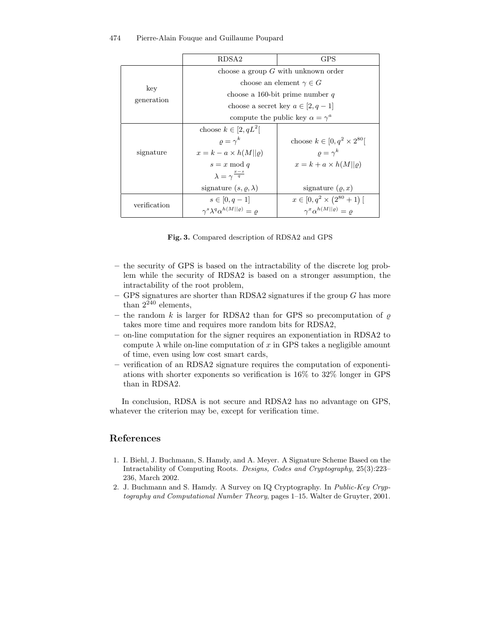|                              | RDSA2                                                 | GPS                                         |
|------------------------------|-------------------------------------------------------|---------------------------------------------|
| $\mathrm{kev}$<br>generation | choose a group $G$ with unknown order                 |                                             |
|                              | choose an element $\gamma \in G$                      |                                             |
|                              | choose a 160-bit prime number q                       |                                             |
|                              | choose a secret key $a \in [2, q-1]$                  |                                             |
|                              | compute the public key $\alpha = \gamma^a$            |                                             |
| signature                    | choose $k \in [2, qL^2]$                              |                                             |
|                              | $\rho = \gamma^k$                                     | choose $k \in [0, q^2 \times 2^{80}]$       |
|                              | $x = k - a \times h(M  \rho)$                         | $\rho = \gamma^k$                           |
|                              | $s = x \bmod q$                                       | $x = k + a \times h(M  \rho)$               |
|                              | $\lambda = \gamma^{\frac{x-s}{q}}$                    |                                             |
|                              | signature $(s, \rho, \lambda)$                        | signature $(\rho, x)$                       |
| verification                 | $s \in [0, q-1]$                                      | $x \in [0, q^2 \times (2^{80} + 1)]$        |
|                              | $\gamma^s \lambda^q \alpha^{h(M  \varrho)} = \varrho$ | $\gamma^x \alpha^{h(M  \varrho)} = \varrho$ |

Fig. 3. Compared description of RDSA2 and GPS

- the security of GPS is based on the intractability of the discrete log problem while the security of RDSA2 is based on a stronger assumption, the intractability of the root problem,
- GPS signatures are shorter than RDSA2 signatures if the group  $G$  has more than  $2^{240}$  elements,
- the random k is larger for RDSA2 than for GPS so precomputation of  $\rho$ takes more time and requires more random bits for RDSA2,
- on-line computation for the signer requires an exponentiation in RDSA2 to compute  $\lambda$  while on-line computation of x in GPS takes a negligible amount of time, even using low cost smart cards,
- verification of an RDSA2 signature requires the computation of exponentiations with shorter exponents so verification is 16% to 32% longer in GPS than in RDSA2.

In conclusion, RDSA is not secure and RDSA2 has no advantage on GPS, whatever the criterion may be, except for verification time.

## References

- 1. I. Biehl, J. Buchmann, S. Hamdy, and A. Meyer. A Signature Scheme Based on the Intractability of Computing Roots. Designs, Codes and Cryptography, 25(3):223– 236, March 2002.
- 2. J. Buchmann and S. Hamdy. A Survey on IQ Cryptography. In Public-Key Cryptography and Computational Number Theory, pages 1–15. Walter de Gruyter, 2001.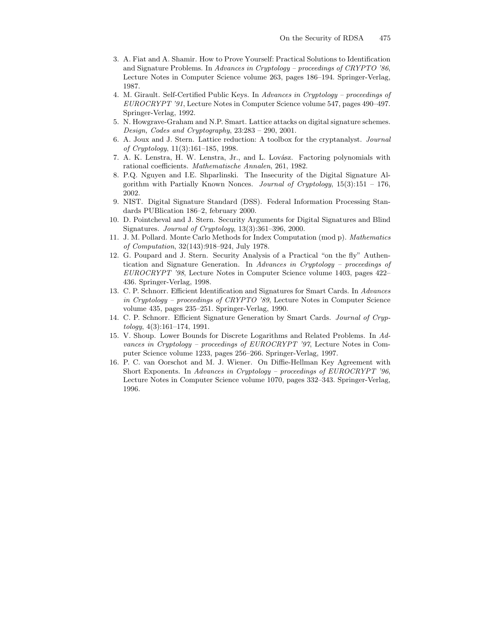- 3. A. Fiat and A. Shamir. How to Prove Yourself: Practical Solutions to Identification and Signature Problems. In Advances in Cryptology – proceedings of CRYPTO '86, Lecture Notes in Computer Science volume 263, pages 186–194. Springer-Verlag, 1987.
- 4. M. Girault. Self-Certified Public Keys. In Advances in Cryptology proceedings of EUROCRYPT '91, Lecture Notes in Computer Science volume 547, pages 490–497. Springer-Verlag, 1992.
- 5. N. Howgrave-Graham and N.P. Smart. Lattice attacks on digital signature schemes. Design, Codes and Cryptography, 23:283 – 290, 2001.
- 6. A. Joux and J. Stern. Lattice reduction: A toolbox for the cryptanalyst. Journal of Cryptology, 11(3):161–185, 1998.
- 7. A. K. Lenstra, H. W. Lenstra, Jr., and L. Lovász. Factoring polynomials with rational coefficients. Mathematische Annalen, 261, 1982.
- 8. P.Q. Nguyen and I.E. Shparlinski. The Insecurity of the Digital Signature Algorithm with Partially Known Nonces. Journal of Cryptology,  $15(3):151 - 176$ , 2002.
- 9. NIST. Digital Signature Standard (DSS). Federal Information Processing Standards PUBlication 186–2, february 2000.
- 10. D. Pointcheval and J. Stern. Security Arguments for Digital Signatures and Blind Signatures. Journal of Cryptology, 13(3):361–396, 2000.
- 11. J. M. Pollard. Monte Carlo Methods for Index Computation (mod p). Mathematics of Computation, 32(143):918–924, July 1978.
- 12. G. Poupard and J. Stern. Security Analysis of a Practical "on the fly" Authentication and Signature Generation. In Advances in Cryptology – proceedings of EUROCRYPT '98, Lecture Notes in Computer Science volume 1403, pages 422– 436. Springer-Verlag, 1998.
- 13. C. P. Schnorr. Efficient Identification and Signatures for Smart Cards. In Advances in Cryptology – proceedings of CRYPTO '89, Lecture Notes in Computer Science volume 435, pages 235–251. Springer-Verlag, 1990.
- 14. C. P. Schnorr. Efficient Signature Generation by Smart Cards. Journal of Cryp $tology, 4(3):161-174, 1991.$
- 15. V. Shoup. Lower Bounds for Discrete Logarithms and Related Problems. In Advances in Cryptology – proceedings of EUROCRYPT '97, Lecture Notes in Computer Science volume 1233, pages 256–266. Springer-Verlag, 1997.
- 16. P. C. van Oorschot and M. J. Wiener. On Diffie-Hellman Key Agreement with Short Exponents. In Advances in Cryptology – proceedings of EUROCRYPT '96, Lecture Notes in Computer Science volume 1070, pages 332–343. Springer-Verlag, 1996.